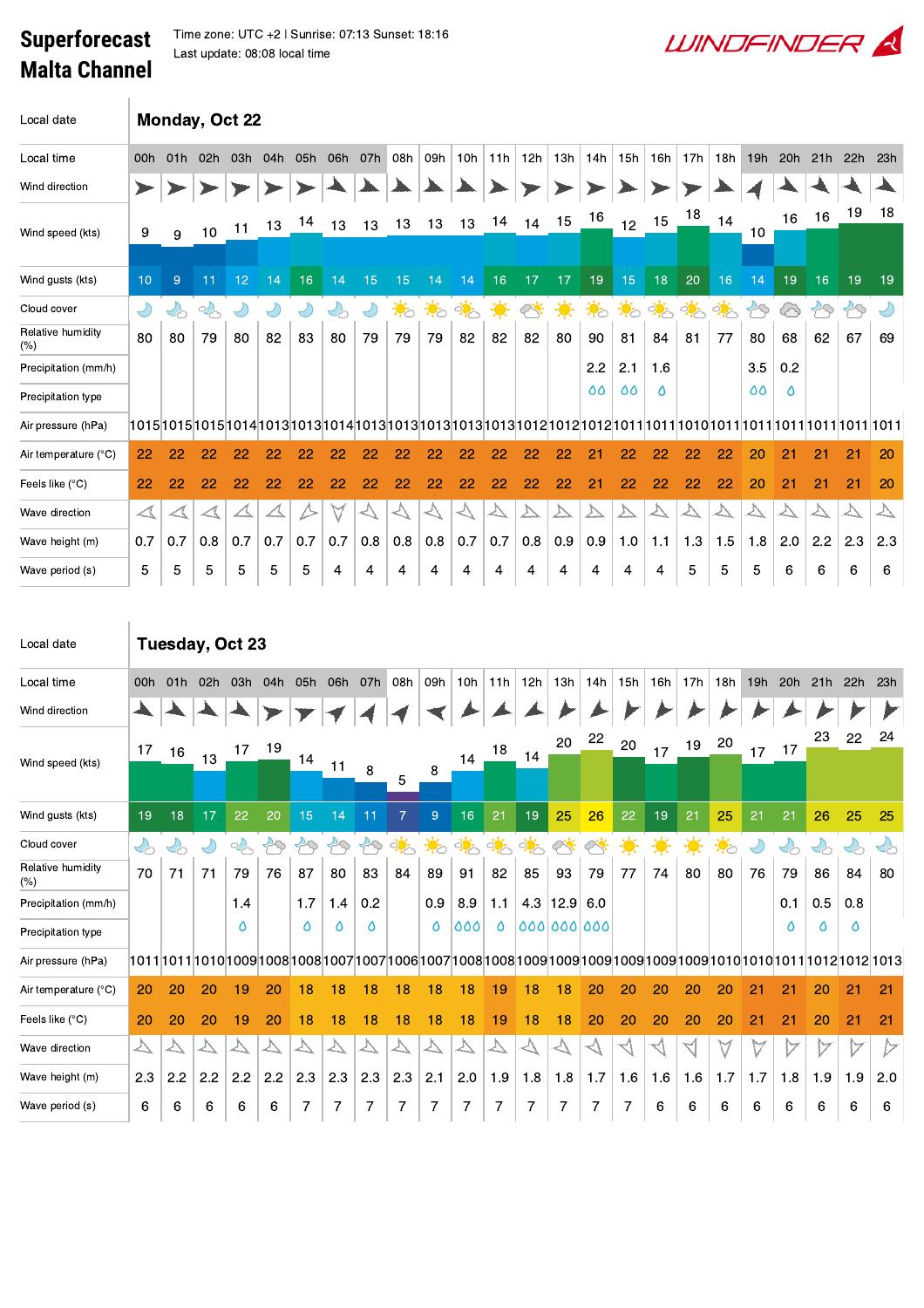## **Superforecast Malta Channel**

 $\text{Lip}_\text{2}$   $\text{Lip}_\text{2}$   $\text{Lip}_\text{2}$   $\text{Lip}_\text{2}$   $\text{Lip}_\text{2}$   $\text{Lip}_\text{2}$   $\text{Lip}_\text{2}$   $\text{Lip}_\text{2}$   $\text{Lip}_\text{2}$   $\text{Lip}_\text{2}$   $\text{Lip}_\text{2}$   $\text{Lip}_\text{2}$   $\text{Lip}_\text{2}$   $\text{Lip}_\text{2}$   $\text{Lip}_\text{2}$   $\text{Lip}_\text{2$ Last update: 08:08 local time

| Local date               | Monday, Oct 22       |                             |                  |     |     |           |     |     |                          |                  |            |     |     |     |                  |                  |     |               |               |               |     |                   |               |            |
|--------------------------|----------------------|-----------------------------|------------------|-----|-----|-----------|-----|-----|--------------------------|------------------|------------|-----|-----|-----|------------------|------------------|-----|---------------|---------------|---------------|-----|-------------------|---------------|------------|
| Local time               | 00h                  | 01h                         | 02h              | 03h | 04h | 05h       | 06h | 07h | 08h                      | 09h              | 10h        | 11h | 12h | 13h | 14h              | 15h              | 16h | 17h           | 18h           | 19h           | 20h | 21h               | 22h           | 23h        |
| Wind direction           |                      |                             |                  |     |     |           |     |     |                          |                  |            |     |     |     |                  |                  |     |               |               |               |     |                   |               |            |
| Wind speed (kts)         | 9                    | 9                           | 10               | 11  | 13  | 14        | 13  | 13  | 13                       | 13               | 13         | 14  | 14  | 15  | 16               | 12 <sup>°</sup>  | 15  | 18            | 14            | 10            | 16  | 16                | 19            | 18         |
| Wind qusts (kts)         | 10                   | 9                           | 11               | 12  | 14  | 16        | 14  | 15  | 15                       | 14               | 14         | 16  | 17  | 17  | 19               | 15               | 18  | 20            | 16            | 14            | 19  | 16                | 19            | 19         |
| Cloud cover              | $\bigcirc$           | $\mathcal{C}_{\mathcal{O}}$ | $\sim$           |     | ჟ   | $\bigcup$ | くわ  | Ľ   | $\ddot{\bullet}_{\circ}$ | $\ddot{\bullet}$ | <u>ं ं</u> | 美   | త   | 美   | $\ddot{\bullet}$ | $\ddot{\bullet}$ | ्री | $\frac{1}{2}$ | $\frac{1}{2}$ | $\mathcal{B}$ | ⊗   | $\curvearrowleft$ | $\mathcal{B}$ | $\bigcirc$ |
| Relative humidity<br>(%) | 80                   | 80                          | 79               | 80  | 82  | 83        | 80  | 79  | 79                       | 79               | 82         | 82  | 82  | 80  | 90               | 81               | 84  | 81            | 77            | 80            | 68  | 62                | 67            | 69         |
| Precipitation (mm/h)     |                      |                             |                  |     |     |           |     |     |                          |                  |            |     |     |     | 2.2              | 2.1              | 1.6 |               |               | 3.5           | 0.2 |                   |               |            |
| Precipitation type       |                      |                             |                  |     |     |           |     |     |                          |                  |            |     |     |     | 00               | 66               | ٥   |               |               | 66            | Ô   |                   |               |            |
| Air pressure (hPa)       |                      |                             |                  |     |     |           |     |     |                          |                  |            |     |     |     |                  |                  |     |               |               |               |     |                   |               |            |
| Air temperature (°C)     | 22                   | 22                          | 22               | 22  | 22  | 22        | 22  | 22  | 22                       | 22               | 22         | 22  | 22  | 22  | 21               | 22               | 22  | 22            | 22            | 20            | 21  | 21                | 21            | 20         |
| Feels like (°C)          | 22                   | 22                          | 22               | 22  | 22  | 22        | 22  | 22  | 22                       | 22               | 22         | 22  | 22  | 22  | 21               | 22               | 22  | 22            | 22            | 20            | 21  | 21                | 21            | 20         |
| Wave direction           | $\blacktriangleleft$ | $\triangle$                 | $\blacktriangle$ |     |     |           | M   |     | く/                       |                  |            | △   |     | y   |                  |                  |     |               |               | ∠∖            |     |                   | △             | ∠∖         |
| Wave height (m)          | 0.7                  | 0.7                         | 0.8              | 0.7 | 0.7 | 0.7       | 0.7 | 0.8 | 0.8                      | 0.8              | 0.7        | 0.7 | 0.8 | 0.9 | 0.9              | 1.0              | 1.1 | 1.3           | 1.5           | 1.8           | 2.0 | 2.2               | 2.3           | 2.3        |
| Wave period (s)          | 5                    | 5                           | 5                | 5   | 5   | 5         | 4   | 4   | 4                        | 4                | 4          | 4   | 4   | 4   | 4                | 4                | 4   | 5             | 5             | 5             | 6   | 6                 | 6             | 6          |

| Local date                | Tuesday, Oct 23   |                             |            |     |                   |                   |                   |     |                  |                  |                  |     |               |                                                                                                                                                                                                                                                                                                                                                                              |     |               |     |     |     |           |                          |         |                          |                   |
|---------------------------|-------------------|-----------------------------|------------|-----|-------------------|-------------------|-------------------|-----|------------------|------------------|------------------|-----|---------------|------------------------------------------------------------------------------------------------------------------------------------------------------------------------------------------------------------------------------------------------------------------------------------------------------------------------------------------------------------------------------|-----|---------------|-----|-----|-----|-----------|--------------------------|---------|--------------------------|-------------------|
| Local time                | 00h               | 01h                         | 02h        | 03h | 04h               | 05h               | 06h               | 07h | 08h              | 09h              | 10 <sub>h</sub>  | 11h | 12h           | 13h                                                                                                                                                                                                                                                                                                                                                                          | 14h | 15h           | 16h | 17h | 18h | 19h       | 20h                      | 21h     | 22h                      | 23h               |
| Wind direction            |                   |                             |            |     |                   |                   |                   |     |                  |                  |                  |     |               |                                                                                                                                                                                                                                                                                                                                                                              |     |               |     |     |     |           |                          |         |                          |                   |
| Wind speed (kts)          | 17                | 16                          | 13         | 17  | 19                |                   |                   |     |                  |                  | 14               | 18  | 14            | 20                                                                                                                                                                                                                                                                                                                                                                           | 22  | 20            | 17  | 19  | 20  | 17        | 17                       | 23      | 22                       | 24                |
|                           |                   |                             |            |     |                   | 14                | 11                | 8   | 5                | 8                |                  |     |               |                                                                                                                                                                                                                                                                                                                                                                              |     |               |     |     |     |           |                          |         |                          |                   |
| Wind gusts (kts)          | 19                | 18                          | 17         | 22  | 20                | 15                | 14                | 11  | $\overline{7}$   | $\overline{9}$   | 16               | 21  | 19            | 25                                                                                                                                                                                                                                                                                                                                                                           | 26  | 22            | 19  | 21  | 25  | 21        | 21                       | 26      | 25                       | 25                |
| Cloud cover               | $\mathcal{S}$     | $\mathcal{L}_{\mathcal{O}}$ | $\bigcirc$ | 2   | $\leftrightarrow$ | $\curvearrowleft$ | $\curvearrowleft$ | PQ  | ्रं              | $\ddot{\bullet}$ | े <mark>ं</mark> | ्रं | $\frac{1}{2}$ | $\frac{1}{\sqrt{2}}\sum_{i=1}^{n} \frac{1}{\sqrt{2}}\sum_{i=1}^{n} \frac{1}{\sqrt{2}}\sum_{i=1}^{n} \frac{1}{\sqrt{2}}\sum_{i=1}^{n} \frac{1}{\sqrt{2}}\sum_{i=1}^{n} \frac{1}{\sqrt{2}}\sum_{i=1}^{n} \frac{1}{\sqrt{2}}\sum_{i=1}^{n} \frac{1}{\sqrt{2}}\sum_{i=1}^{n} \frac{1}{\sqrt{2}}\sum_{i=1}^{n} \frac{1}{\sqrt{2}}\sum_{i=1}^{n} \frac{1}{\sqrt{2}}\sum_{i=1}^{n}$ |     | $\frac{1}{2}$ | 美   | 美   | 美   | $\bigcup$ | $\mathcal{C}_{\text{O}}$ | $\zeta$ | $\mathcal{C}_{\text{D}}$ | $\mathcal{L}_{C}$ |
| Relative humidity<br>(% ) | 70                | 71                          | 71         | 79  | 76                | 87                | 80                | 83  | 84               | 89               | 91               | 82  | 85            | 93                                                                                                                                                                                                                                                                                                                                                                           | 79  | 77            | 74  | 80  | 80  | 76        | 79                       | 86      | 84                       | 80                |
| Precipitation (mm/h)      |                   |                             |            | 1.4 |                   | 1.7               | 1.4               | 0.2 |                  | 0.9              | 8.9              | 1.1 | 4.3           | 12.9                                                                                                                                                                                                                                                                                                                                                                         | 6.0 |               |     |     |     |           | 0.1                      | 0.5     | 0.8                      |                   |
| Precipitation type        |                   |                             |            | Δ   |                   | Δ                 | Δ                 | Δ   |                  | ٥                | 000              | Ô   |               | 000000000                                                                                                                                                                                                                                                                                                                                                                    |     |               |     |     |     |           | ٥                        |         | Δ                        |                   |
| Air pressure (hPa)        |                   |                             |            |     |                   |                   |                   |     |                  |                  |                  |     |               |                                                                                                                                                                                                                                                                                                                                                                              |     |               |     |     |     |           |                          |         |                          |                   |
| Air temperature (°C)      | 20                | 20                          | 20         | 19  | 20                | 18                | 18                | 18  | 18               | 18               | 18               | 19  | 18            | 18                                                                                                                                                                                                                                                                                                                                                                           | 20  | 20            | 20  | 20  | 20  | 21        | 21                       | 20      | 21                       | 21                |
| Feels like (°C)           | 20                | 20                          | 20         | 19  | 20                | 18                | 18                | 18  | 18               | 18               | 18               | 19  | 18            | 18                                                                                                                                                                                                                                                                                                                                                                           | 20  | 20            | 20  | 20  | 20  | 21        | 21                       | 20      | 21                       | 21                |
| Wave direction            | $\overline{\vee}$ |                             |            |     |                   | △                 |                   |     | $\triangleright$ |                  |                  | ∆   |               |                                                                                                                                                                                                                                                                                                                                                                              |     |               |     |     |     | M         |                          |         |                          | ▷                 |
| Wave height (m)           | 2.3               | 2.2                         | 2.2        | 2.2 | 2.2               | 2.3               | 2.3               | 2.3 | 2.3              | 2.1              | 2.0              | 1.9 | 1.8           | 1.8                                                                                                                                                                                                                                                                                                                                                                          | 1.7 | 1.6           | 1.6 | 1.6 | 1.7 | 1.7       | 1.8                      | 1.9     | 1.9                      | 2.0               |
| Wave period (s)           | 6                 | 6                           | 6          | 6   | 6                 | 7                 |                   |     | 7                | 7                |                  | 7   | 7             | 7                                                                                                                                                                                                                                                                                                                                                                            |     | 7             | 6   | 6   | 6   | 6         | 6                        | 6       | 6                        | 6                 |